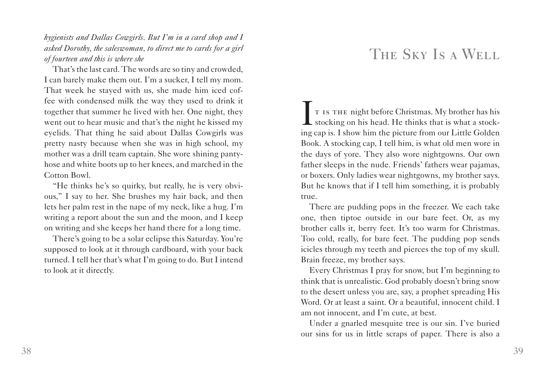*hygienists and Dallas Cowgirls. But I'm in a card shop and I asked Dorothy, the saleswoman, to direct me to cards for a girl of fourteen and this is where she* 

That's the last card. The words are so tiny and crowded, I can barely make them out. I'm a sucker, I tell my mom. That week he stayed with us, she made him iced coffee with condensed milk the way they used to drink it together that summer he lived with her. One night, they went out to hear music and that's the night he kissed my eyelids. That thing he said about Dallas Cowgirls was pretty nasty because when she was in high school, my mother was a drill team captain. She wore shining pantyhose and white boots up to her knees, and marched in the Cotton Bowl.

"He thinks he's so quirky, but really, he is very obvious," I say to her. She brushes my hair back, and then lets her palm rest in the nape of my neck, like a hug. I'm writing a report about the sun and the moon, and I keep on writing and she keeps her hand there for a long time.

There's going to be a solar eclipse this Saturday. You're supposed to look at it through cardboard, with your back turned. I tell her that's what I'm going to do. But I intend to look at it directly.

## THE SKY IS A WELL

It is the night before Christmas. My brother has his **L** stocking on his head. He thinks that is what a stocking cap is. I show him the picture from our Little Golden Book. A stocking cap, I tell him, is what old men wore in the days of yore. They also wore nightgowns. Our own father sleeps in the nude. Friends' fathers wear pajamas, or boxers. Only ladies wear nightgowns, my brother says. But he knows that if I tell him something, it is probably true.

There are pudding pops in the freezer. We each take one, then tiptoe outside in our bare feet. Or, as my brother calls it, berry feet. It's too warm for Christmas. Too cold, really, for bare feet. The pudding pop sends icicles through my teeth and pierces the top of my skull. Brain freeze, my brother says.

Every Christmas I pray for snow, but I'm beginning to think that is unrealistic. God probably doesn't bring snow to the desert unless you are, say, a prophet spreading His Word. Or at least a saint. Or a beautiful, innocent child. I am not innocent, and I'm cute, at best.

Under a gnarled mesquite tree is our sin. I've buried our sins for us in little scraps of paper. There is also a